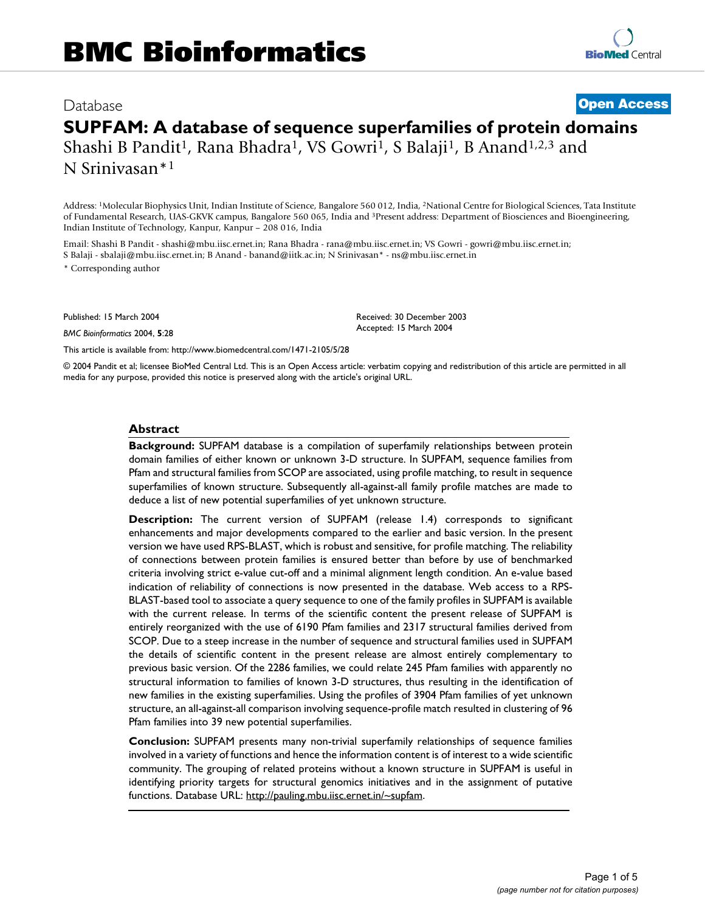# Database **[Open Access](http://www.biomedcentral.com/info/about/charter/) SUPFAM: A database of sequence superfamilies of protein domains** Shashi B Pandit<sup>1</sup>, Rana Bhadra<sup>1</sup>, VS Gowri<sup>1</sup>, S Balaji<sup>1</sup>, B Anand<sup>1,2,3</sup> and

N Srinivasan\*1

Address: 1Molecular Biophysics Unit, Indian Institute of Science, Bangalore 560 012, India, 2National Centre for Biological Sciences, Tata Institute of Fundamental Research, UAS-GKVK campus, Bangalore 560 065, India and 3Present address: Department of Biosciences and Bioengineering, Indian Institute of Technology, Kanpur, Kanpur – 208 016, India

Email: Shashi B Pandit - shashi@mbu.iisc.ernet.in; Rana Bhadra - rana@mbu.iisc.ernet.in; VS Gowri - gowri@mbu.iisc.ernet.in; S Balaji - sbalaji@mbu.iisc.ernet.in; B Anand - banand@iitk.ac.in; N Srinivasan\* - ns@mbu.iisc.ernet.in

\* Corresponding author

Published: 15 March 2004

*BMC Bioinformatics* 2004, **5**:28

[This article is available from: http://www.biomedcentral.com/1471-2105/5/28](http://www.biomedcentral.com/1471-2105/5/28)

© 2004 Pandit et al; licensee BioMed Central Ltd. This is an Open Access article: verbatim copying and redistribution of this article are permitted in all media for any purpose, provided this notice is preserved along with the article's original URL.

Received: 30 December 2003 Accepted: 15 March 2004

#### **Abstract**

**Background:** SUPFAM database is a compilation of superfamily relationships between protein domain families of either known or unknown 3-D structure. In SUPFAM, sequence families from Pfam and structural families from SCOP are associated, using profile matching, to result in sequence superfamilies of known structure. Subsequently all-against-all family profile matches are made to deduce a list of new potential superfamilies of yet unknown structure.

**Description:** The current version of SUPFAM (release 1.4) corresponds to significant enhancements and major developments compared to the earlier and basic version. In the present version we have used RPS-BLAST, which is robust and sensitive, for profile matching. The reliability of connections between protein families is ensured better than before by use of benchmarked criteria involving strict e-value cut-off and a minimal alignment length condition. An e-value based indication of reliability of connections is now presented in the database. Web access to a RPS-BLAST-based tool to associate a query sequence to one of the family profiles in SUPFAM is available with the current release. In terms of the scientific content the present release of SUPFAM is entirely reorganized with the use of 6190 Pfam families and 2317 structural families derived from SCOP. Due to a steep increase in the number of sequence and structural families used in SUPFAM the details of scientific content in the present release are almost entirely complementary to previous basic version. Of the 2286 families, we could relate 245 Pfam families with apparently no structural information to families of known 3-D structures, thus resulting in the identification of new families in the existing superfamilies. Using the profiles of 3904 Pfam families of yet unknown structure, an all-against-all comparison involving sequence-profile match resulted in clustering of 96 Pfam families into 39 new potential superfamilies.

**Conclusion:** SUPFAM presents many non-trivial superfamily relationships of sequence families involved in a variety of functions and hence the information content is of interest to a wide scientific community. The grouping of related proteins without a known structure in SUPFAM is useful in identifying priority targets for structural genomics initiatives and in the assignment of putative functions. Database URL: <http://pauling.mbu.iisc.ernet.in/~supfam>.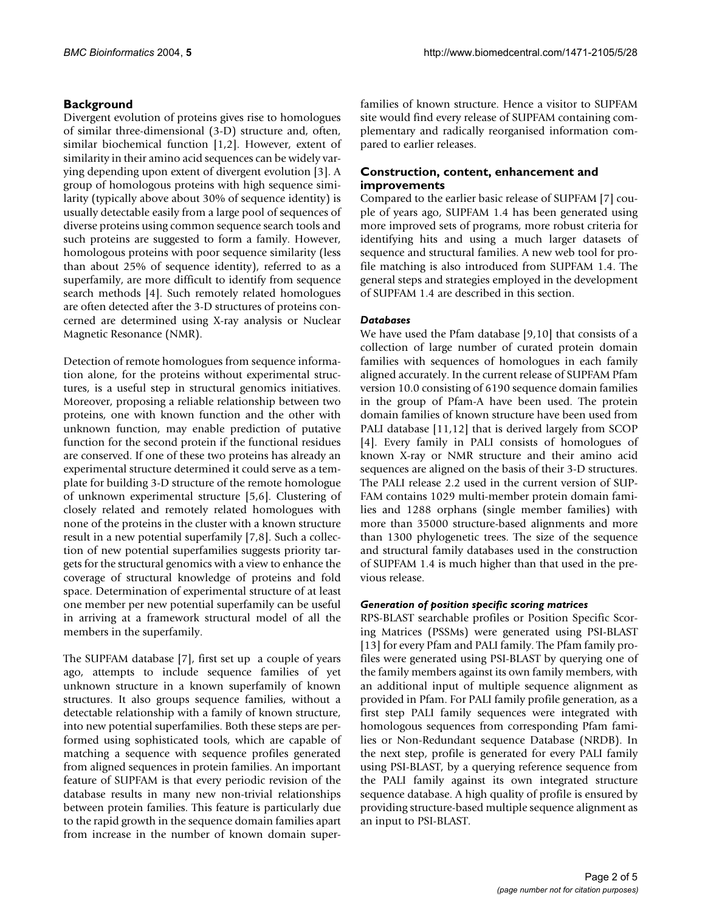# **Background**

Divergent evolution of proteins gives rise to homologues of similar three-dimensional (3-D) structure and, often, similar biochemical function [1,2]. However, extent of similarity in their amino acid sequences can be widely varying depending upon extent of divergent evolution [3]. A group of homologous proteins with high sequence similarity (typically above about 30% of sequence identity) is usually detectable easily from a large pool of sequences of diverse proteins using common sequence search tools and such proteins are suggested to form a family. However, homologous proteins with poor sequence similarity (less than about 25% of sequence identity), referred to as a superfamily, are more difficult to identify from sequence search methods [4]. Such remotely related homologues are often detected after the 3-D structures of proteins concerned are determined using X-ray analysis or Nuclear Magnetic Resonance (NMR).

Detection of remote homologues from sequence information alone, for the proteins without experimental structures, is a useful step in structural genomics initiatives. Moreover, proposing a reliable relationship between two proteins, one with known function and the other with unknown function, may enable prediction of putative function for the second protein if the functional residues are conserved. If one of these two proteins has already an experimental structure determined it could serve as a template for building 3-D structure of the remote homologue of unknown experimental structure [5,6]. Clustering of closely related and remotely related homologues with none of the proteins in the cluster with a known structure result in a new potential superfamily [7,8]. Such a collection of new potential superfamilies suggests priority targets for the structural genomics with a view to enhance the coverage of structural knowledge of proteins and fold space. Determination of experimental structure of at least one member per new potential superfamily can be useful in arriving at a framework structural model of all the members in the superfamily.

The SUPFAM database [7], first set up a couple of years ago, attempts to include sequence families of yet unknown structure in a known superfamily of known structures. It also groups sequence families, without a detectable relationship with a family of known structure, into new potential superfamilies. Both these steps are performed using sophisticated tools, which are capable of matching a sequence with sequence profiles generated from aligned sequences in protein families. An important feature of SUPFAM is that every periodic revision of the database results in many new non-trivial relationships between protein families. This feature is particularly due to the rapid growth in the sequence domain families apart from increase in the number of known domain superfamilies of known structure. Hence a visitor to SUPFAM site would find every release of SUPFAM containing complementary and radically reorganised information compared to earlier releases.

## **Construction, content, enhancement and improvements**

Compared to the earlier basic release of SUPFAM [7] couple of years ago, SUPFAM 1.4 has been generated using more improved sets of programs, more robust criteria for identifying hits and using a much larger datasets of sequence and structural families. A new web tool for profile matching is also introduced from SUPFAM 1.4. The general steps and strategies employed in the development of SUPFAM 1.4 are described in this section.

## *Databases*

We have used the Pfam database [9,10] that consists of a collection of large number of curated protein domain families with sequences of homologues in each family aligned accurately. In the current release of SUPFAM Pfam version 10.0 consisting of 6190 sequence domain families in the group of Pfam-A have been used. The protein domain families of known structure have been used from PALI database [11,12] that is derived largely from SCOP [4]. Every family in PALI consists of homologues of known X-ray or NMR structure and their amino acid sequences are aligned on the basis of their 3-D structures. The PALI release 2.2 used in the current version of SUP-FAM contains 1029 multi-member protein domain families and 1288 orphans (single member families) with more than 35000 structure-based alignments and more than 1300 phylogenetic trees. The size of the sequence and structural family databases used in the construction of SUPFAM 1.4 is much higher than that used in the previous release.

#### *Generation of position specific scoring matrices*

RPS-BLAST searchable profiles or Position Specific Scoring Matrices (PSSMs) were generated using PSI-BLAST [13] for every Pfam and PALI family. The Pfam family profiles were generated using PSI-BLAST by querying one of the family members against its own family members, with an additional input of multiple sequence alignment as provided in Pfam. For PALI family profile generation, as a first step PALI family sequences were integrated with homologous sequences from corresponding Pfam families or Non-Redundant sequence Database (NRDB). In the next step, profile is generated for every PALI family using PSI-BLAST, by a querying reference sequence from the PALI family against its own integrated structure sequence database. A high quality of profile is ensured by providing structure-based multiple sequence alignment as an input to PSI-BLAST.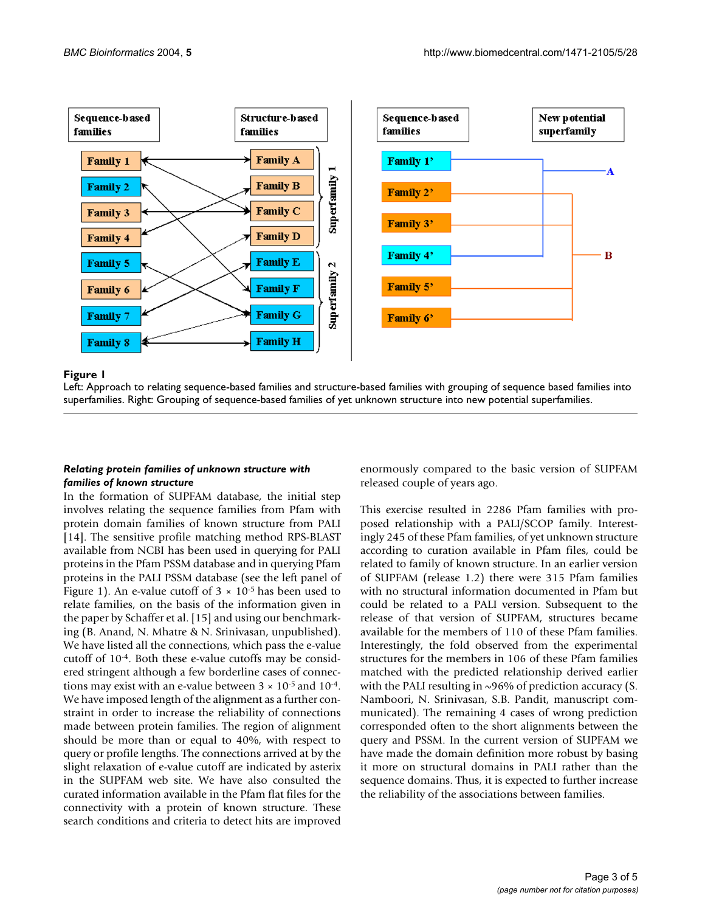

#### Left: Approach to relating sequence-based fa superfamilies **Figure 1** milies and structure-based families with grouping of sequence based families into

Left: Approach to relating sequence-based families and structure-based families with grouping of sequence based families into superfamilies. Right: Grouping of sequence-based families of yet unknown structure into new potential superfamilies.

#### *Relating protein families of unknown structure with families of known structure*

In the formation of SUPFAM database, the initial step involves relating the sequence families from Pfam with protein domain families of known structure from PALI [14]. The sensitive profile matching method RPS-BLAST available from NCBI has been used in querying for PALI proteins in the Pfam PSSM database and in querying Pfam proteins in the PALI PSSM database (see the left panel of Figure 1). An e-value cutoff of  $3 \times 10^{-5}$  has been used to relate families, on the basis of the information given in the paper by Schaffer et al. [15] and using our benchmarking (B. Anand, N. Mhatre & N. Srinivasan, unpublished). We have listed all the connections, which pass the e-value cutoff of 10-4. Both these e-value cutoffs may be considered stringent although a few borderline cases of connections may exist with an e-value between  $3 \times 10^{-5}$  and  $10^{-4}$ . We have imposed length of the alignment as a further constraint in order to increase the reliability of connections made between protein families. The region of alignment should be more than or equal to 40%, with respect to query or profile lengths. The connections arrived at by the slight relaxation of e-value cutoff are indicated by asterix in the SUPFAM web site. We have also consulted the curated information available in the Pfam flat files for the connectivity with a protein of known structure. These search conditions and criteria to detect hits are improved enormously compared to the basic version of SUPFAM released couple of years ago.

This exercise resulted in 2286 Pfam families with proposed relationship with a PALI/SCOP family. Interestingly 245 of these Pfam families, of yet unknown structure according to curation available in Pfam files, could be related to family of known structure. In an earlier version of SUPFAM (release 1.2) there were 315 Pfam families with no structural information documented in Pfam but could be related to a PALI version. Subsequent to the release of that version of SUPFAM, structures became available for the members of 110 of these Pfam families. Interestingly, the fold observed from the experimental structures for the members in 106 of these Pfam families matched with the predicted relationship derived earlier with the PALI resulting in  $\sim$ 96% of prediction accuracy (S. Namboori, N. Srinivasan, S.B. Pandit, manuscript communicated). The remaining 4 cases of wrong prediction corresponded often to the short alignments between the query and PSSM. In the current version of SUPFAM we have made the domain definition more robust by basing it more on structural domains in PALI rather than the sequence domains. Thus, it is expected to further increase the reliability of the associations between families.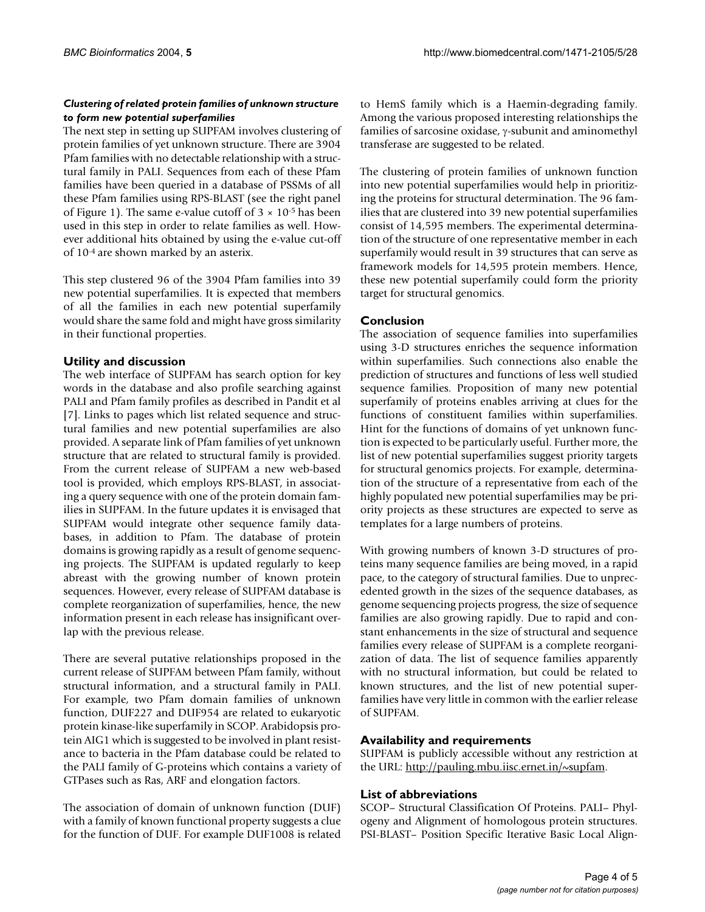## *Clustering of related protein families of unknown structure to form new potential superfamilies*

The next step in setting up SUPFAM involves clustering of protein families of yet unknown structure. There are 3904 Pfam families with no detectable relationship with a structural family in PALI. Sequences from each of these Pfam families have been queried in a database of PSSMs of all these Pfam families using RPS-BLAST (see the right panel of Figure 1). The same e-value cutoff of  $3 \times 10^{-5}$  has been used in this step in order to relate families as well. However additional hits obtained by using the e-value cut-off of 10-4 are shown marked by an asterix.

This step clustered 96 of the 3904 Pfam families into 39 new potential superfamilies. It is expected that members of all the families in each new potential superfamily would share the same fold and might have gross similarity in their functional properties.

# **Utility and discussion**

The web interface of SUPFAM has search option for key words in the database and also profile searching against PALI and Pfam family profiles as described in Pandit et al [7]. Links to pages which list related sequence and structural families and new potential superfamilies are also provided. A separate link of Pfam families of yet unknown structure that are related to structural family is provided. From the current release of SUPFAM a new web-based tool is provided, which employs RPS-BLAST, in associating a query sequence with one of the protein domain families in SUPFAM. In the future updates it is envisaged that SUPFAM would integrate other sequence family databases, in addition to Pfam. The database of protein domains is growing rapidly as a result of genome sequencing projects. The SUPFAM is updated regularly to keep abreast with the growing number of known protein sequences. However, every release of SUPFAM database is complete reorganization of superfamilies, hence, the new information present in each release has insignificant overlap with the previous release.

There are several putative relationships proposed in the current release of SUPFAM between Pfam family, without structural information, and a structural family in PALI. For example, two Pfam domain families of unknown function, DUF227 and DUF954 are related to eukaryotic protein kinase-like superfamily in SCOP. Arabidopsis protein AIG1 which is suggested to be involved in plant resistance to bacteria in the Pfam database could be related to the PALI family of G-proteins which contains a variety of GTPases such as Ras, ARF and elongation factors.

The association of domain of unknown function (DUF) with a family of known functional property suggests a clue for the function of DUF. For example DUF1008 is related

to HemS family which is a Haemin-degrading family. Among the various proposed interesting relationships the families of sarcosine oxidase, γ-subunit and aminomethyl transferase are suggested to be related.

The clustering of protein families of unknown function into new potential superfamilies would help in prioritizing the proteins for structural determination. The 96 families that are clustered into 39 new potential superfamilies consist of 14,595 members. The experimental determination of the structure of one representative member in each superfamily would result in 39 structures that can serve as framework models for 14,595 protein members. Hence, these new potential superfamily could form the priority target for structural genomics.

# **Conclusion**

The association of sequence families into superfamilies using 3-D structures enriches the sequence information within superfamilies. Such connections also enable the prediction of structures and functions of less well studied sequence families. Proposition of many new potential superfamily of proteins enables arriving at clues for the functions of constituent families within superfamilies. Hint for the functions of domains of yet unknown function is expected to be particularly useful. Further more, the list of new potential superfamilies suggest priority targets for structural genomics projects. For example, determination of the structure of a representative from each of the highly populated new potential superfamilies may be priority projects as these structures are expected to serve as templates for a large numbers of proteins.

With growing numbers of known 3-D structures of proteins many sequence families are being moved, in a rapid pace, to the category of structural families. Due to unprecedented growth in the sizes of the sequence databases, as genome sequencing projects progress, the size of sequence families are also growing rapidly. Due to rapid and constant enhancements in the size of structural and sequence families every release of SUPFAM is a complete reorganization of data. The list of sequence families apparently with no structural information, but could be related to known structures, and the list of new potential superfamilies have very little in common with the earlier release of SUPFAM.

# **Availability and requirements**

SUPFAM is publicly accessible without any restriction at the URL: [http://pauling.mbu.iisc.ernet.in/~supfam.](http://pauling.mbu.iisc.ernet.in/~supfam)

# **List of abbreviations**

SCOP– Structural Classification Of Proteins. PALI– Phylogeny and Alignment of homologous protein structures. PSI-BLAST– Position Specific Iterative Basic Local Align